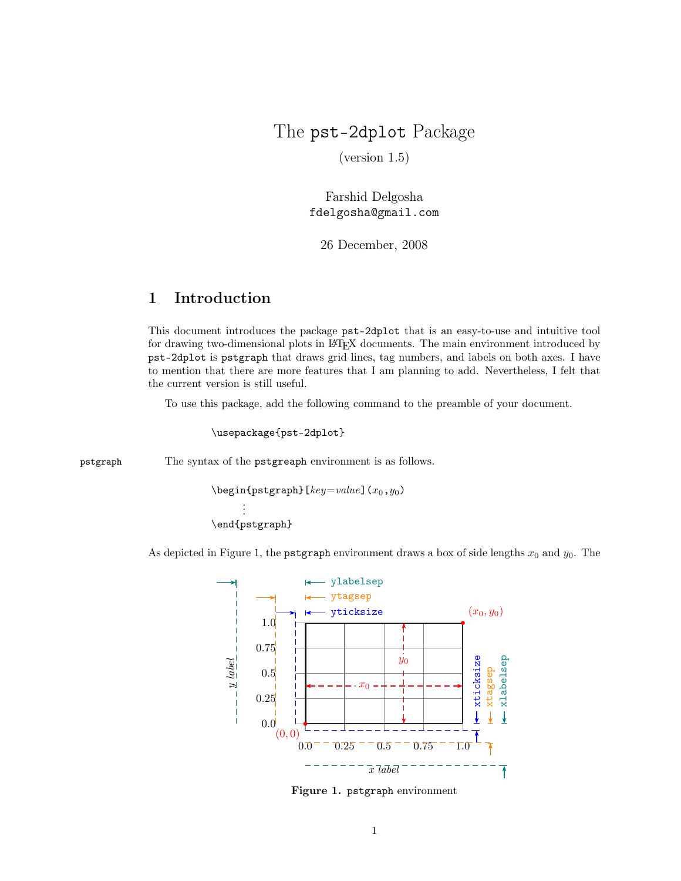## The pst-2dplot Package

(version 1.5)

Farshid Delgosha fdelgosha@gmail.com

26 December, 2008

## 1 Introduction

This document introduces the package pst-2dplot that is an easy-to-use and intuitive tool for drawing two-dimensional plots in LAT<sub>EX</sub> documents. The main environment introduced by pst-2dplot is pstgraph that draws grid lines, tag numbers, and labels on both axes. I have to mention that there are more features that I am planning to add. Nevertheless, I felt that the current version is still useful.

To use this package, add the following command to the preamble of your document.

\usepackage{pst-2dplot}

pstgraph The syntax of the pstgreaph environment is as follows.

```
\begin{cases} [key=value](x_0,y_0) \end{cases}.
       .
       .
\end{pstgraph}
```
As depicted in Figure 1, the pstgraph environment draws a box of side lengths  $x_0$  and  $y_0$ . The



Figure 1. pstgraph environment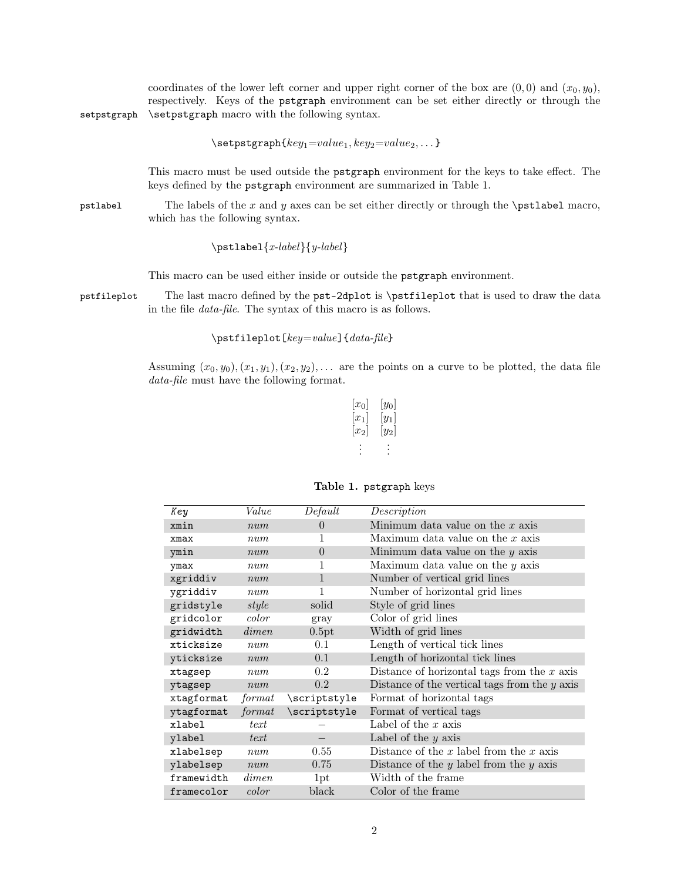coordinates of the lower left corner and upper right corner of the box are  $(0, 0)$  and  $(x_0, y_0)$ , respectively. Keys of the pstgraph environment can be set either directly or through the setpstgraph \setpstgraph macro with the following syntax.

 $\setminus$ setpstgraph $\{key_1=value_1, key_2=value_2, \dots\}$ 

This macro must be used outside the pstgraph environment for the keys to take effect. The keys defined by the pstgraph environment are summarized in Table 1.

pstlabel The labels of the x and y axes can be set either directly or through the  $\partial$  macro, which has the following syntax.

 $\mathcal{x\text{-}label}{y\text{-}label}$ 

This macro can be used either inside or outside the pstgraph environment.

pstfileplot The last macro defined by the pst-2dplot is \pstfileplot that is used to draw the data in the file data-file. The syntax of this macro is as follows.

 $\text{left1eplot}[key = value]{data-file}$ 

Assuming  $(x_0, y_0), (x_1, y_1), (x_2, y_2), \ldots$  are the points on a curve to be plotted, the data file data-file must have the following format.

| $ x_0 $ | $ y_0 $ |
|---------|---------|
| $ x_1 $ | $[y_1]$ |
| $ x_2 $ | $[y_2]$ |
|         |         |
|         |         |
|         |         |

| Key        | Value  | Default      | Description                                     |
|------------|--------|--------------|-------------------------------------------------|
| xmin       | num    | $\Omega$     | Minimum data value on the $x$ axis              |
| xmax       | num    |              | Maximum data value on the $x$ axis              |
| ymin       | num    | $\theta$     | Minimum data value on the $y$ axis              |
| ymax       | num    | 1            | Maximum data value on the $y$ axis              |
| xgriddiv   | num    | $\mathbf{1}$ | Number of vertical grid lines                   |
| ygriddiv   | num    | 1            | Number of horizontal grid lines                 |
| gridstyle  | style  | solid        | Style of grid lines                             |
| gridcolor  | color  | gray         | Color of grid lines                             |
| gridwidth  | dimen  | 0.5pt        | Width of grid lines                             |
| xticksize  | num    | 0.1          | Length of vertical tick lines                   |
| yticksize  | num    | 0.1          | Length of horizontal tick lines                 |
| xtagsep    | num    | 0.2          | Distance of horizontal tags from the $x$ axis   |
| ytagsep    | num    | 0.2          | Distance of the vertical tags from the $y$ axis |
| xtagformat | format | \scriptstyle | Format of horizontal tags                       |
| ytagformat | format | \scriptstyle | Format of vertical tags                         |
| xlabel     | text   |              | Label of the $x$ axis                           |
| ylabel     | text   |              | Label of the $y$ axis                           |
| xlabelsep  | num    | 0.55         | Distance of the $x$ label from the $x$ axis     |
| ylabelsep  | num    | 0.75         | Distance of the $y$ label from the $y$ axis     |
| framewidth | dimen  | 1pt          | Width of the frame                              |
| framecolor | color  | black        | Color of the frame                              |

## Table 1. pstgraph keys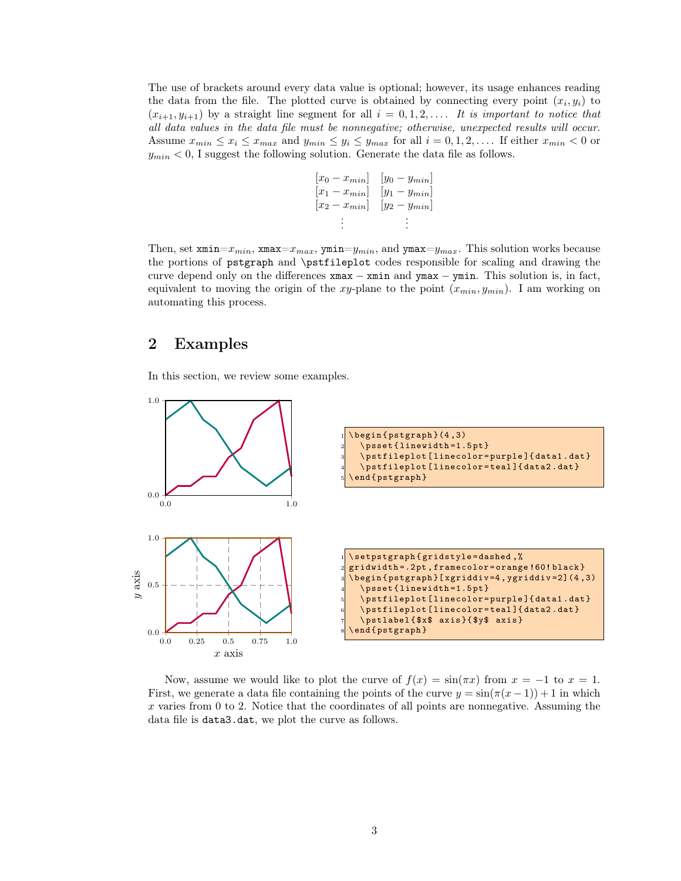The use of brackets around every data value is optional; however, its usage enhances reading the data from the file. The plotted curve is obtained by connecting every point  $(x_i, y_i)$  to  $(x_{i+1}, y_{i+1})$  by a straight line segment for all  $i = 0, 1, 2, \ldots$  It is important to notice that all data values in the data file must be nonnegative; otherwise, unexpected results will occur. Assume  $x_{min} \leq x_i \leq x_{max}$  and  $y_{min} \leq y_i \leq y_{max}$  for all  $i = 0, 1, 2, \ldots$ . If either  $x_{min} < 0$  or  $y_{min}$  < 0, I suggest the following solution. Generate the data file as follows.

$$
\begin{bmatrix} x_0 - x_{min} \end{bmatrix} \begin{bmatrix} y_0 - y_{min} \end{bmatrix}
$$
  
\n
$$
\begin{bmatrix} x_1 - x_{min} \end{bmatrix} \begin{bmatrix} y_1 - y_{min} \end{bmatrix}
$$
  
\n
$$
\begin{bmatrix} x_2 - x_{min} \end{bmatrix} \begin{bmatrix} y_2 - y_{min} \end{bmatrix}
$$
  
\n
$$
\vdots \qquad \vdots
$$

Then, set  $\text{,min}=x_{min}$ ,  $\text{mass}=x_{max}$ ,  $\text{,min}=y_{min}$ , and  $\text{,max}=y_{max}$ . This solution works because the portions of pstgraph and \pstfileplot codes responsible for scaling and drawing the curve depend only on the differences xmax − xmin and ymax − ymin. This solution is, in fact, equivalent to moving the origin of the xy-plane to the point  $(x_{min}, y_{min})$ . I am working on automating this process.

## 2 Examples

In this section, we review some examples.



Now, assume we would like to plot the curve of  $f(x) = \sin(\pi x)$  from  $x = -1$  to  $x = 1$ . First, we generate a data file containing the points of the curve  $y = \sin(\pi(x-1)) + 1$  in which  $x$  varies from 0 to 2. Notice that the coordinates of all points are nonnegative. Assuming the data file is data3.dat, we plot the curve as follows.